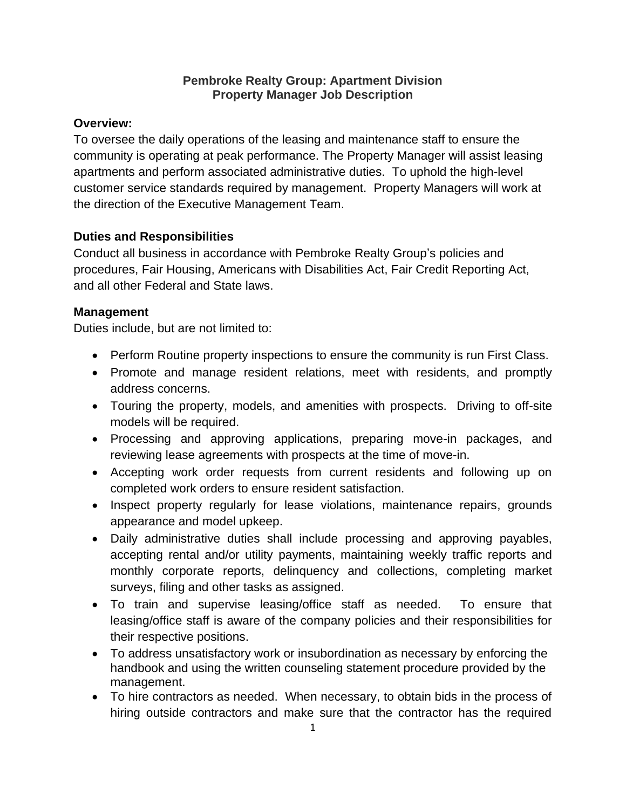#### **Pembroke Realty Group: Apartment Division Property Manager Job Description**

#### **Overview:**

To oversee the daily operations of the leasing and maintenance staff to ensure the community is operating at peak performance. The Property Manager will assist leasing apartments and perform associated administrative duties. To uphold the high-level customer service standards required by management. Property Managers will work at the direction of the Executive Management Team.

#### **Duties and Responsibilities**

Conduct all business in accordance with Pembroke Realty Group's policies and procedures, Fair Housing, Americans with Disabilities Act, Fair Credit Reporting Act, and all other Federal and State laws.

### **Management**

Duties include, but are not limited to:

- Perform Routine property inspections to ensure the community is run First Class.
- Promote and manage resident relations, meet with residents, and promptly address concerns.
- Touring the property, models, and amenities with prospects. Driving to off-site models will be required.
- Processing and approving applications, preparing move-in packages, and reviewing lease agreements with prospects at the time of move-in.
- Accepting work order requests from current residents and following up on completed work orders to ensure resident satisfaction.
- Inspect property regularly for lease violations, maintenance repairs, grounds appearance and model upkeep.
- Daily administrative duties shall include processing and approving payables, accepting rental and/or utility payments, maintaining weekly traffic reports and monthly corporate reports, delinquency and collections, completing market surveys, filing and other tasks as assigned.
- To train and supervise leasing/office staff as needed. To ensure that leasing/office staff is aware of the company policies and their responsibilities for their respective positions.
- To address unsatisfactory work or insubordination as necessary by enforcing the handbook and using the written counseling statement procedure provided by the management.
- To hire contractors as needed. When necessary, to obtain bids in the process of hiring outside contractors and make sure that the contractor has the required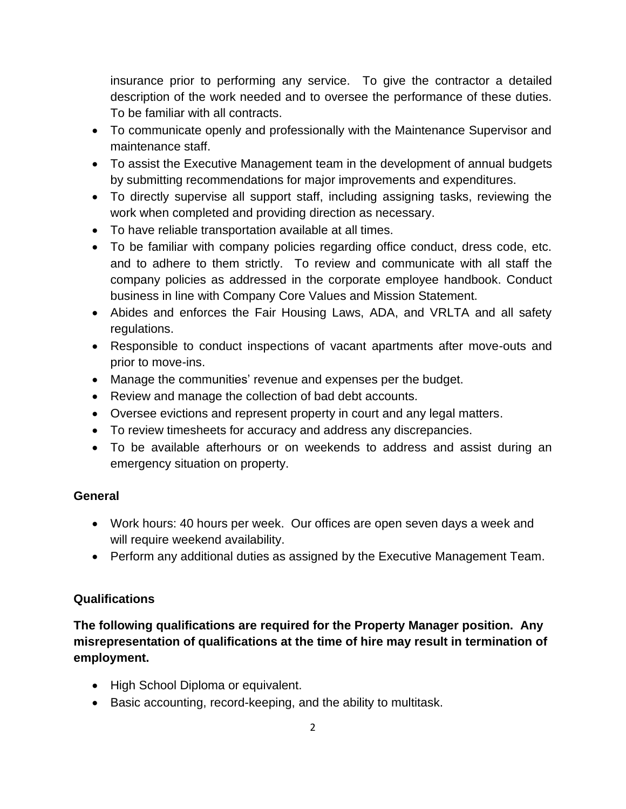insurance prior to performing any service. To give the contractor a detailed description of the work needed and to oversee the performance of these duties. To be familiar with all contracts.

- To communicate openly and professionally with the Maintenance Supervisor and maintenance staff.
- To assist the Executive Management team in the development of annual budgets by submitting recommendations for major improvements and expenditures.
- To directly supervise all support staff, including assigning tasks, reviewing the work when completed and providing direction as necessary.
- To have reliable transportation available at all times.
- To be familiar with company policies regarding office conduct, dress code, etc. and to adhere to them strictly. To review and communicate with all staff the company policies as addressed in the corporate employee handbook. Conduct business in line with Company Core Values and Mission Statement.
- Abides and enforces the Fair Housing Laws, ADA, and VRLTA and all safety regulations.
- Responsible to conduct inspections of vacant apartments after move-outs and prior to move-ins.
- Manage the communities' revenue and expenses per the budget.
- Review and manage the collection of bad debt accounts.
- Oversee evictions and represent property in court and any legal matters.
- To review timesheets for accuracy and address any discrepancies.
- To be available afterhours or on weekends to address and assist during an emergency situation on property.

## **General**

- Work hours: 40 hours per week. Our offices are open seven days a week and will require weekend availability.
- Perform any additional duties as assigned by the Executive Management Team.

## **Qualifications**

**The following qualifications are required for the Property Manager position. Any misrepresentation of qualifications at the time of hire may result in termination of employment.**

- High School Diploma or equivalent.
- Basic accounting, record-keeping, and the ability to multitask.